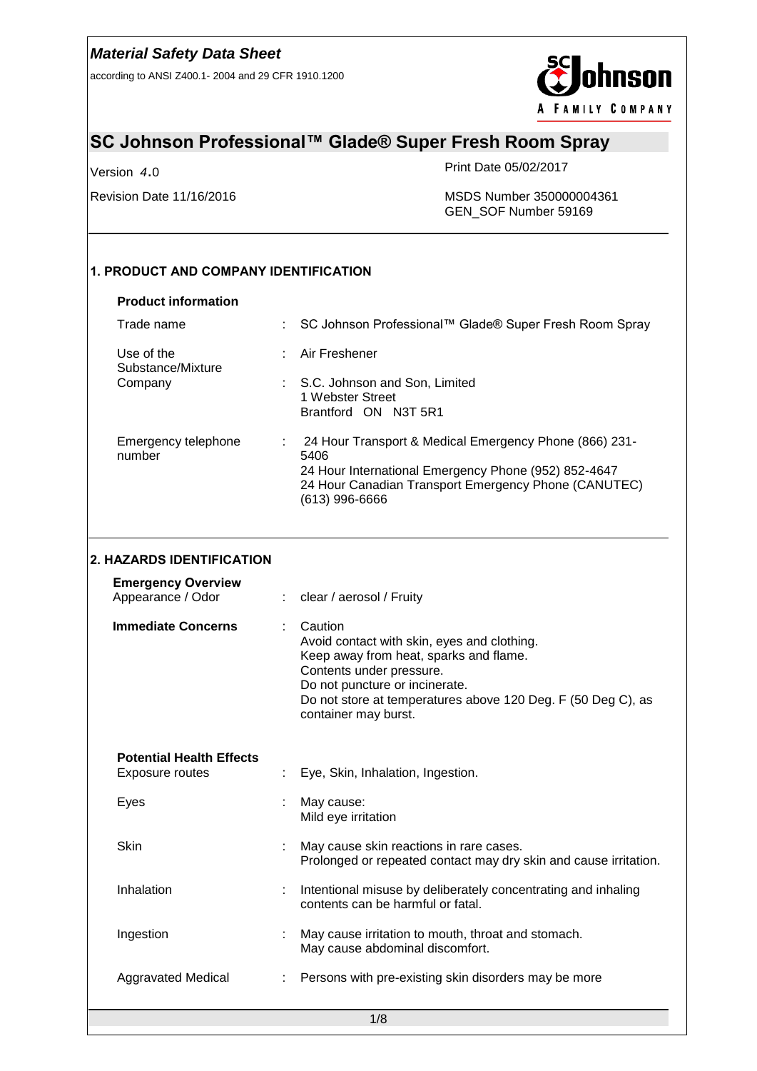according to ANSI Z400.1- 2004 and 29 CFR 1910.1200



# **SC Johnson Professional™ Glade® Super Fresh Room Spray**

Version *4*.0

Print Date 05/02/2017

Revision Date 11/16/2016 MSDS Number 350000004361 GEN\_SOF Number 59169

### **1. PRODUCT AND COMPANY IDENTIFICATION**

#### **Product information**

| Trade name                      | : SC Johnson Professional™ Glade® Super Fresh Room Spray                                                                                                                                         |
|---------------------------------|--------------------------------------------------------------------------------------------------------------------------------------------------------------------------------------------------|
| Use of the<br>Substance/Mixture | Air Freshener                                                                                                                                                                                    |
| Company                         | S.C. Johnson and Son, Limited<br>1 Webster Street<br>Brantford ON N3T 5R1                                                                                                                        |
| Emergency telephone<br>number   | 24 Hour Transport & Medical Emergency Phone (866) 231-<br>5406<br>24 Hour International Emergency Phone (952) 852-4647<br>24 Hour Canadian Transport Emergency Phone (CANUTEC)<br>(613) 996-6666 |

### **2. HAZARDS IDENTIFICATION**

| <b>Emergency Overview</b><br>Appearance / Odor     |    | clear / aerosol / Fruity                                                                                                                                                                                                                               |
|----------------------------------------------------|----|--------------------------------------------------------------------------------------------------------------------------------------------------------------------------------------------------------------------------------------------------------|
| <b>Immediate Concerns</b>                          | ÷. | Caution<br>Avoid contact with skin, eyes and clothing.<br>Keep away from heat, sparks and flame.<br>Contents under pressure.<br>Do not puncture or incinerate.<br>Do not store at temperatures above 120 Deg. F (50 Deg C), as<br>container may burst. |
| <b>Potential Health Effects</b><br>Exposure routes |    | Eye, Skin, Inhalation, Ingestion.                                                                                                                                                                                                                      |
| Eyes                                               | ÷  | May cause:<br>Mild eye irritation                                                                                                                                                                                                                      |
| Skin                                               |    | May cause skin reactions in rare cases.<br>Prolonged or repeated contact may dry skin and cause irritation.                                                                                                                                            |
| Inhalation                                         |    | Intentional misuse by deliberately concentrating and inhaling<br>contents can be harmful or fatal.                                                                                                                                                     |
| Ingestion                                          |    | May cause irritation to mouth, throat and stomach.<br>May cause abdominal discomfort.                                                                                                                                                                  |
| <b>Aggravated Medical</b>                          |    | Persons with pre-existing skin disorders may be more                                                                                                                                                                                                   |
|                                                    |    | 4/0                                                                                                                                                                                                                                                    |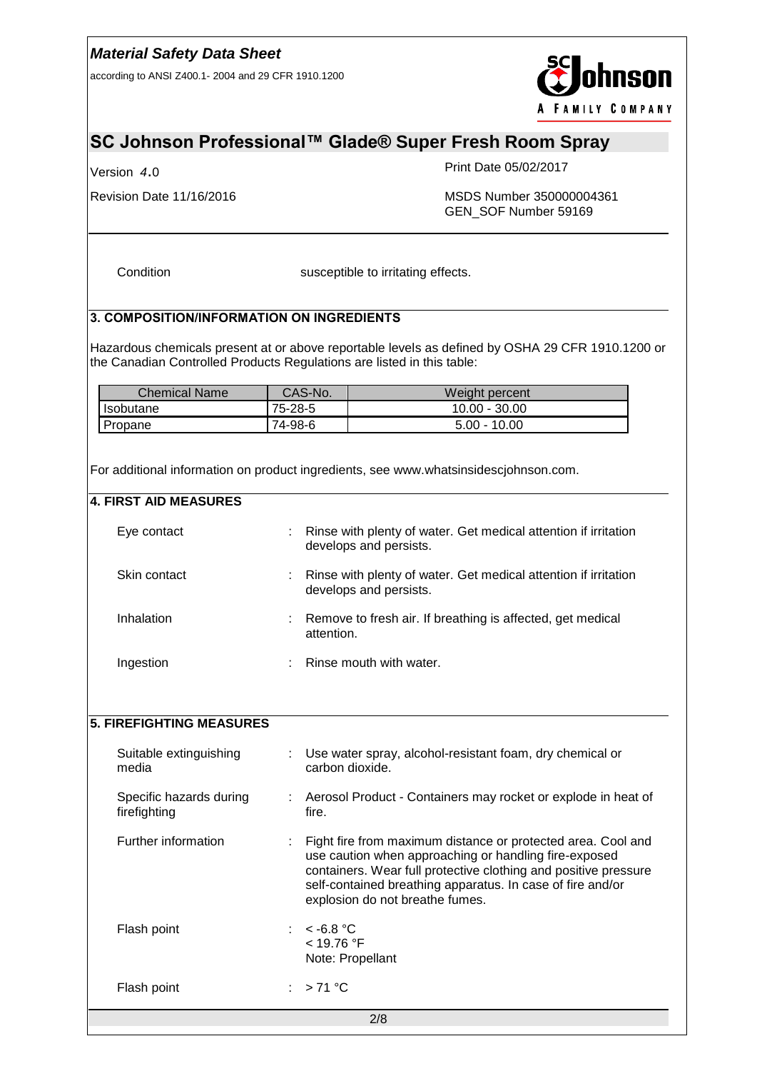according to ANSI Z400.1- 2004 and 29 CFR 1910.1200



# **SC Johnson Professional™ Glade® Super Fresh Room Spray**

Version *4*.0

Print Date 05/02/2017

Revision Date 11/16/2016 MSDS Number 350000004361 GEN\_SOF Number 59169

Condition susceptible to irritating effects.

### **3. COMPOSITION/INFORMATION ON INGREDIENTS**

Hazardous chemicals present at or above reportable levels as defined by OSHA 29 CFR 1910.1200 or the Canadian Controlled Products Regulations are listed in this table:

| <b>Chemical Name</b> | CAS-No. | Weight percent  |
|----------------------|---------|-----------------|
| Isobutane            | 75-28-5 | $10.00 - 30.00$ |
| Propane              | 74-98-6 | $5.00 - 10.00$  |

For additional information on product ingredients, see www.whatsinsidescjohnson.com.

#### **4. FIRST AID MEASURES**

| Eye contact  |            | : Rinse with plenty of water. Get medical attention if irritation<br>develops and persists. |
|--------------|------------|---------------------------------------------------------------------------------------------|
| Skin contact |            | : Rinse with plenty of water. Get medical attention if irritation<br>develops and persists. |
| Inhalation   | attention. | : Remove to fresh air. If breathing is affected, get medical                                |
| Ingestion    |            | $:$ Rinse mouth with water.                                                                 |

## **5. FIREFIGHTING MEASURES**

| Suitable extinguishing<br>media         | $\mathbb{Z}^{\mathbb{Z}}$ | Use water spray, alcohol-resistant foam, dry chemical or<br>carbon dioxide.                                                                                                                                                                                                               |
|-----------------------------------------|---------------------------|-------------------------------------------------------------------------------------------------------------------------------------------------------------------------------------------------------------------------------------------------------------------------------------------|
| Specific hazards during<br>firefighting |                           | : Aerosol Product - Containers may rocket or explode in heat of<br>fire.                                                                                                                                                                                                                  |
| Further information                     | ÷.                        | Fight fire from maximum distance or protected area. Cool and<br>use caution when approaching or handling fire-exposed<br>containers. Wear full protective clothing and positive pressure<br>self-contained breathing apparatus. In case of fire and/or<br>explosion do not breathe fumes. |
| Flash point                             |                           | $\approx$ -6.8 °C<br>< 19.76 °F<br>Note: Propellant                                                                                                                                                                                                                                       |
| Flash point                             |                           | : $>71^{\circ}$ C                                                                                                                                                                                                                                                                         |
|                                         |                           | 2/8                                                                                                                                                                                                                                                                                       |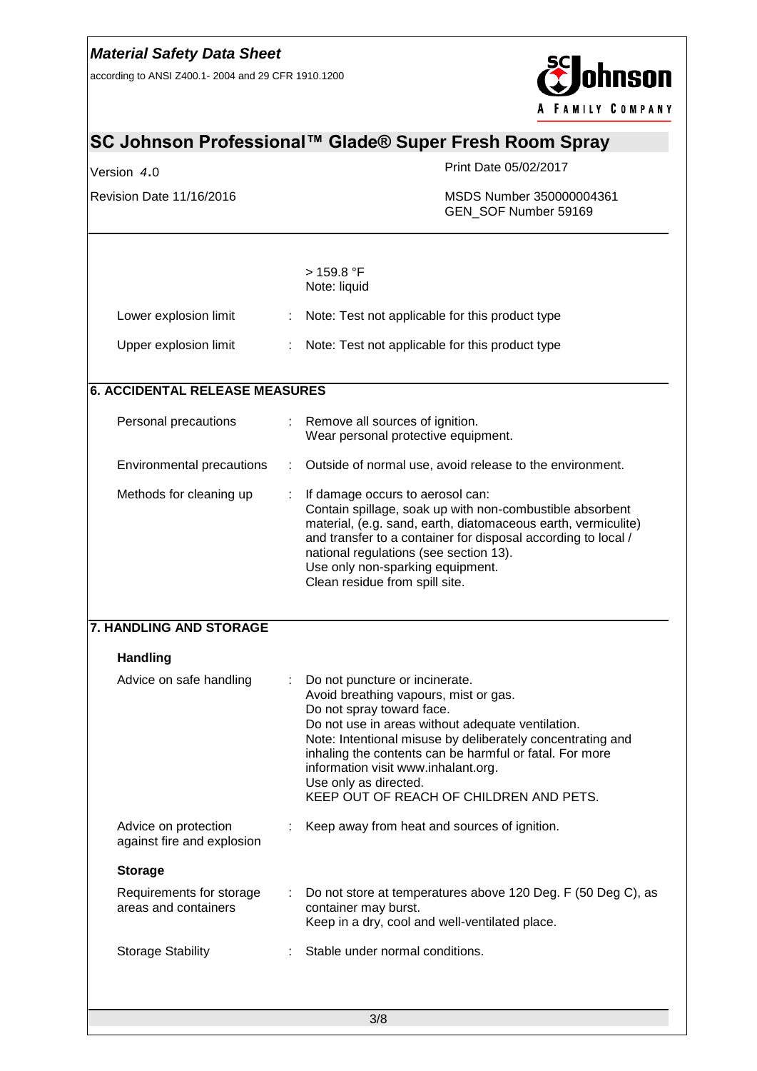according to ANSI Z400.1- 2004 and 29 CFR 1910.1200



|                                                    |   | Print Date 05/02/2017                                                                                                                                                                                                                                                                                                                                                                         |
|----------------------------------------------------|---|-----------------------------------------------------------------------------------------------------------------------------------------------------------------------------------------------------------------------------------------------------------------------------------------------------------------------------------------------------------------------------------------------|
| Version 4.0                                        |   |                                                                                                                                                                                                                                                                                                                                                                                               |
| Revision Date 11/16/2016                           |   | MSDS Number 350000004361<br>GEN SOF Number 59169                                                                                                                                                                                                                                                                                                                                              |
|                                                    |   | > 159.8 °F                                                                                                                                                                                                                                                                                                                                                                                    |
|                                                    |   | Note: liquid                                                                                                                                                                                                                                                                                                                                                                                  |
| Lower explosion limit                              |   | Note: Test not applicable for this product type                                                                                                                                                                                                                                                                                                                                               |
| Upper explosion limit                              |   | Note: Test not applicable for this product type                                                                                                                                                                                                                                                                                                                                               |
| <b>6. ACCIDENTAL RELEASE MEASURES</b>              |   |                                                                                                                                                                                                                                                                                                                                                                                               |
| Personal precautions                               |   | : Remove all sources of ignition.<br>Wear personal protective equipment.                                                                                                                                                                                                                                                                                                                      |
| Environmental precautions                          | ÷ | Outside of normal use, avoid release to the environment.                                                                                                                                                                                                                                                                                                                                      |
| Methods for cleaning up                            |   | If damage occurs to aerosol can:<br>Contain spillage, soak up with non-combustible absorbent<br>material, (e.g. sand, earth, diatomaceous earth, vermiculite)<br>and transfer to a container for disposal according to local /<br>national regulations (see section 13).<br>Use only non-sparking equipment.<br>Clean residue from spill site.                                                |
| <b>7. HANDLING AND STORAGE</b>                     |   |                                                                                                                                                                                                                                                                                                                                                                                               |
| <b>Handling</b>                                    |   |                                                                                                                                                                                                                                                                                                                                                                                               |
| Advice on safe handling                            |   | Do not puncture or incinerate.<br>Avoid breathing vapours, mist or gas.<br>Do not spray toward face.<br>Do not use in areas without adequate ventilation.<br>Note: Intentional misuse by deliberately concentrating and<br>inhaling the contents can be harmful or fatal. For more<br>information visit www.inhalant.org.<br>Use only as directed.<br>KEEP OUT OF REACH OF CHILDREN AND PETS. |
| Advice on protection<br>against fire and explosion |   | Keep away from heat and sources of ignition.                                                                                                                                                                                                                                                                                                                                                  |
| <b>Storage</b>                                     |   |                                                                                                                                                                                                                                                                                                                                                                                               |
| Requirements for storage<br>areas and containers   |   | Do not store at temperatures above 120 Deg. F (50 Deg C), as<br>container may burst.<br>Keep in a dry, cool and well-ventilated place.                                                                                                                                                                                                                                                        |
| <b>Storage Stability</b>                           |   | Stable under normal conditions.                                                                                                                                                                                                                                                                                                                                                               |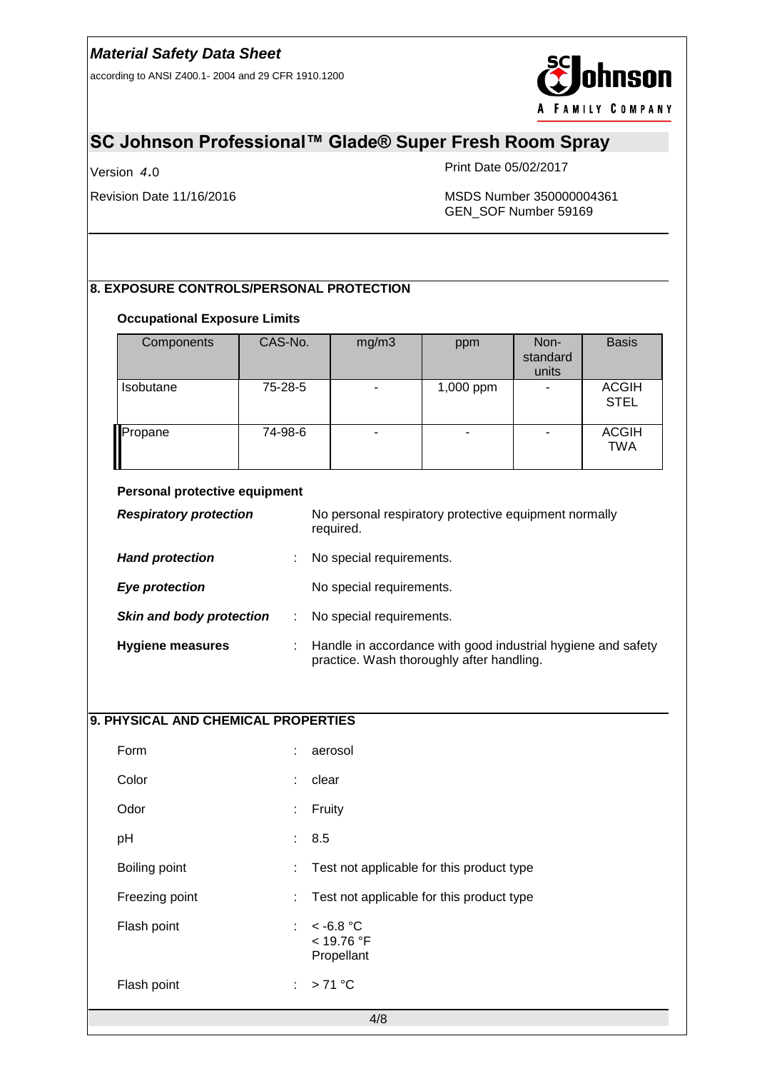according to ANSI Z400.1- 2004 and 29 CFR 1910.1200



# **SC Johnson Professional™ Glade® Super Fresh Room Spray**

Version *4*.0

Print Date 05/02/2017

Revision Date 11/16/2016 MSDS Number 350000004361 GEN\_SOF Number 59169

### **8. EXPOSURE CONTROLS/PERSONAL PROTECTION**

#### **Occupational Exposure Limits**

| Components                           | CAS-No. | mg/m3                                                              | ppm       | Non-<br>standard<br>units | <b>Basis</b>                |  |  |
|--------------------------------------|---------|--------------------------------------------------------------------|-----------|---------------------------|-----------------------------|--|--|
| <b>Isobutane</b>                     | 75-28-5 |                                                                    | 1,000 ppm |                           | <b>ACGIH</b><br><b>STEL</b> |  |  |
| Propane                              | 74-98-6 |                                                                    |           |                           | <b>ACGIH</b><br><b>TWA</b>  |  |  |
| Personal protective equipment        |         |                                                                    |           |                           |                             |  |  |
| <b>Respiratory protection</b>        |         | No personal respiratory protective equipment normally<br>required. |           |                           |                             |  |  |
| <b>Hand protection</b>               |         | No special requirements.                                           |           |                           |                             |  |  |
| <b>Eye protection</b>                |         | No special requirements.                                           |           |                           |                             |  |  |
| <b>Skin and body protection</b><br>÷ |         | No special requirements.                                           |           |                           |                             |  |  |

| <b>Hygiene measures</b> | : Handle in accordance with good industrial hygiene and safety<br>practice. Wash thoroughly after handling. |
|-------------------------|-------------------------------------------------------------------------------------------------------------|
|                         |                                                                                                             |

## **9. PHYSICAL AND CHEMICAL PROPERTIES**

|                |    | 4/8                                       |
|----------------|----|-------------------------------------------|
| Flash point    | ÷. | $>71^{\circ}$ C                           |
| Flash point    | ÷. | $<$ -6.8 °C<br>$<$ 19.76 °F<br>Propellant |
| Freezing point | ÷. | Test not applicable for this product type |
| Boiling point  | ÷. | Test not applicable for this product type |
| pH             |    | : 8.5                                     |
| Odor           | ÷  | Fruity                                    |
| Color          | ÷  | clear                                     |
| Form           | ÷  | aerosol                                   |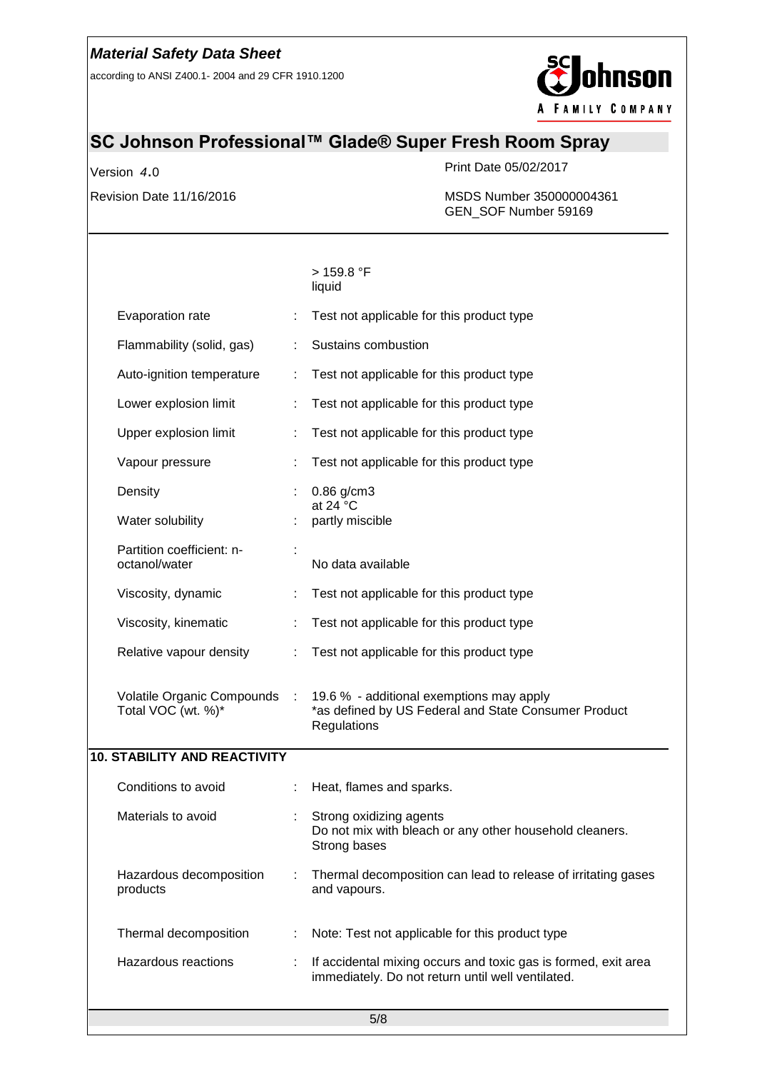according to ANSI Z400.1- 2004 and 29 CFR 1910.1200



# **SC Johnson Professional™ Glade® Super Fresh Room Spray**

Version *4*.0

Print Date 05/02/2017

Revision Date 11/16/2016 MSDS Number 350000004361 GEN\_SOF Number 59169

|                                                  |           | > 159.8 °F<br>liquid                                                                                                |
|--------------------------------------------------|-----------|---------------------------------------------------------------------------------------------------------------------|
| Evaporation rate                                 |           | Test not applicable for this product type                                                                           |
| Flammability (solid, gas)                        |           | Sustains combustion                                                                                                 |
| Auto-ignition temperature                        |           | Test not applicable for this product type                                                                           |
| Lower explosion limit                            |           | Test not applicable for this product type                                                                           |
| Upper explosion limit                            |           | Test not applicable for this product type                                                                           |
| Vapour pressure                                  |           | Test not applicable for this product type                                                                           |
| Density                                          |           | 0.86 g/cm3                                                                                                          |
| Water solubility                                 |           | at 24 $\degree$ C<br>partly miscible                                                                                |
| Partition coefficient: n-<br>octanol/water       |           | No data available                                                                                                   |
| Viscosity, dynamic                               |           | Test not applicable for this product type                                                                           |
| Viscosity, kinematic                             |           | Test not applicable for this product type                                                                           |
| Relative vapour density                          |           | Test not applicable for this product type                                                                           |
| Volatile Organic Compounds<br>Total VOC (wt. %)* | $\sim$ 10 | 19.6 % - additional exemptions may apply<br>*as defined by US Federal and State Consumer Product<br>Regulations     |
| <b>10. STABILITY AND REACTIVITY</b>              |           |                                                                                                                     |
| Conditions to avoid                              |           | Heat, flames and sparks.                                                                                            |
| Materials to avoid                               |           | Strong oxidizing agents<br>Do not mix with bleach or any other household cleaners.<br>Strong bases                  |
| Hazardous decomposition<br>products              |           | Thermal decomposition can lead to release of irritating gases<br>and vapours.                                       |
| Thermal decomposition                            | ÷         | Note: Test not applicable for this product type                                                                     |
| Hazardous reactions                              |           | If accidental mixing occurs and toxic gas is formed, exit area<br>immediately. Do not return until well ventilated. |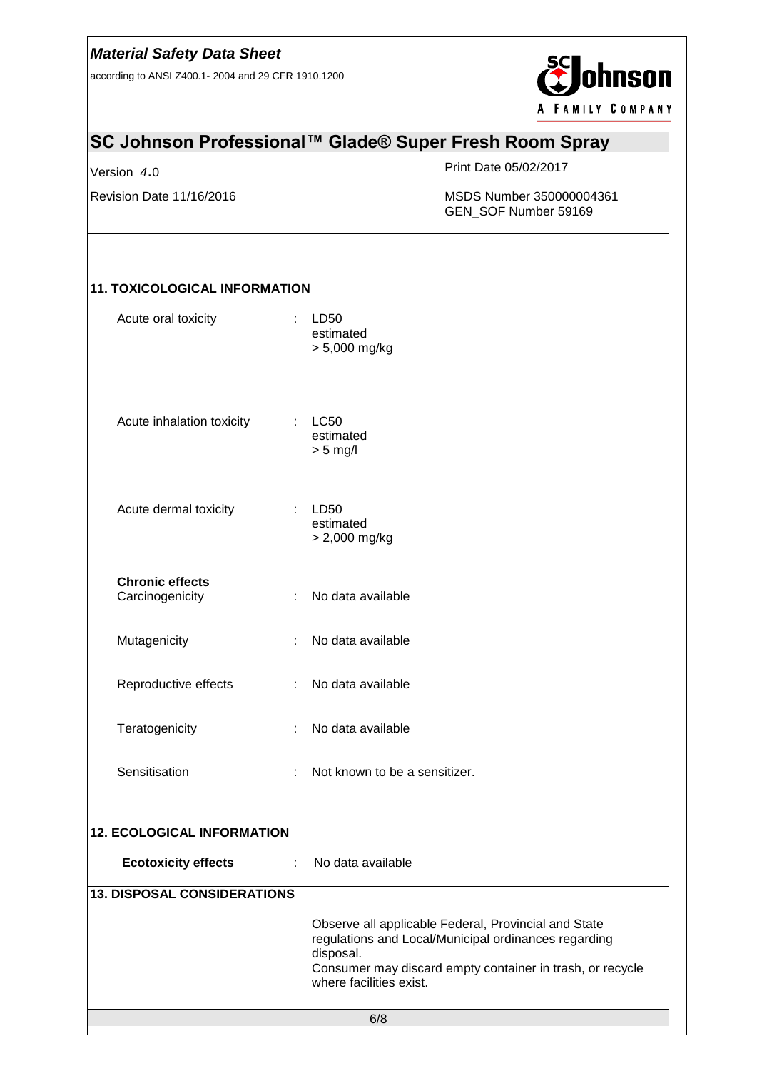according to ANSI Z400.1- 2004 and 29 CFR 1910.1200



# **SC Johnson Professional™ Glade® Super Fresh Room Spray**

Version *4*.0

Print Date 05/02/2017

Revision Date 11/16/2016 MSDS Number 350000004361 GEN\_SOF Number 59169

| <b>11. TOXICOLOGICAL INFORMATION</b>           |                                                                                                                                                                                                                   |
|------------------------------------------------|-------------------------------------------------------------------------------------------------------------------------------------------------------------------------------------------------------------------|
| Acute oral toxicity                            | LD50<br>estimated<br>> 5,000 mg/kg                                                                                                                                                                                |
| Acute inhalation toxicity                      | <b>LC50</b><br>estimated<br>$> 5$ mg/l                                                                                                                                                                            |
| Acute dermal toxicity                          | LD50<br>t.<br>estimated<br>> 2,000 mg/kg                                                                                                                                                                          |
| <b>Chronic effects</b><br>Carcinogenicity<br>÷ | No data available                                                                                                                                                                                                 |
| Mutagenicity<br>٠                              | No data available                                                                                                                                                                                                 |
| Reproductive effects<br>÷                      | No data available                                                                                                                                                                                                 |
| Teratogenicity<br>÷                            | No data available                                                                                                                                                                                                 |
| Sensitisation                                  | Not known to be a sensitizer.                                                                                                                                                                                     |
| <b>12. ECOLOGICAL INFORMATION</b>              |                                                                                                                                                                                                                   |
| <b>Ecotoxicity effects</b>                     | No data available                                                                                                                                                                                                 |
| <b>13. DISPOSAL CONSIDERATIONS</b>             |                                                                                                                                                                                                                   |
|                                                | Observe all applicable Federal, Provincial and State<br>regulations and Local/Municipal ordinances regarding<br>disposal.<br>Consumer may discard empty container in trash, or recycle<br>where facilities exist. |
|                                                | 6/8                                                                                                                                                                                                               |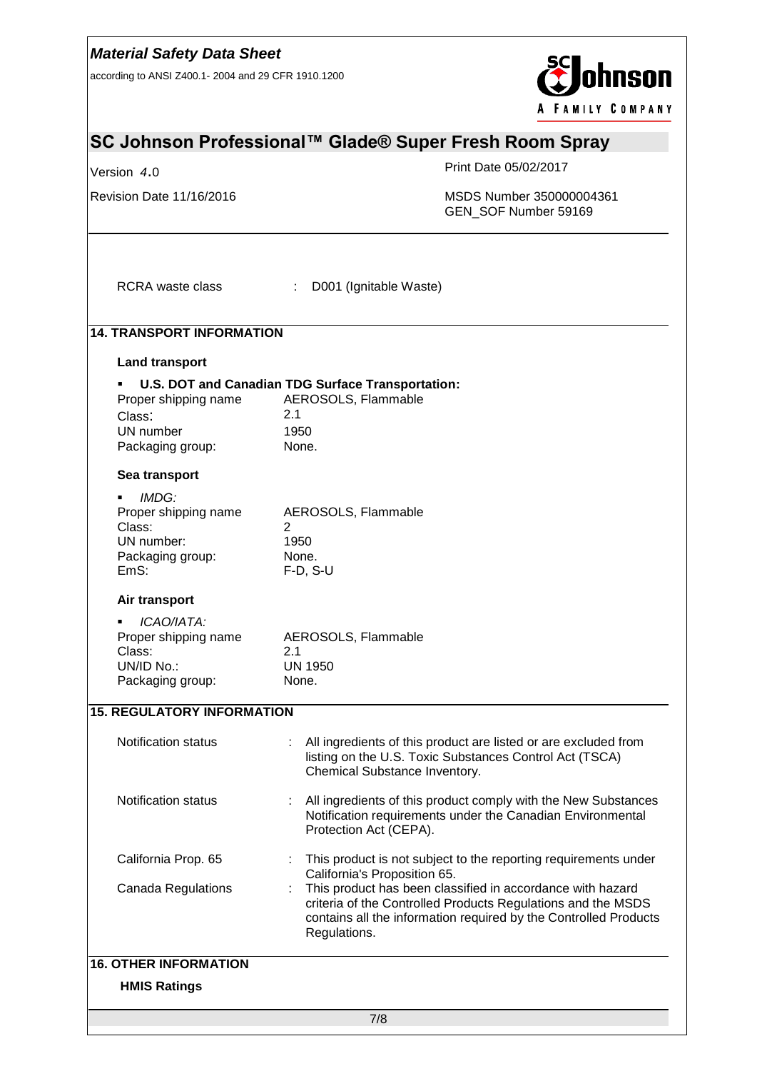| <b>Material Safety Data Sheet</b><br>according to ANSI Z400.1-2004 and 29 CFR 1910.1200 |                                                                                                  | <b>hnson</b><br><b>FAMILY COMPANY</b>                                                                                                                       |                                                                  |  |
|-----------------------------------------------------------------------------------------|--------------------------------------------------------------------------------------------------|-------------------------------------------------------------------------------------------------------------------------------------------------------------|------------------------------------------------------------------|--|
| SC Johnson Professional™ Glade® Super Fresh Room Spray                                  |                                                                                                  |                                                                                                                                                             |                                                                  |  |
| Version 4.0                                                                             |                                                                                                  | Print Date 05/02/2017                                                                                                                                       |                                                                  |  |
| Revision Date 11/16/2016                                                                |                                                                                                  | GEN_SOF Number 59169                                                                                                                                        | MSDS Number 350000004361                                         |  |
| <b>RCRA</b> waste class                                                                 | D001 (Ignitable Waste)<br>÷.                                                                     |                                                                                                                                                             |                                                                  |  |
| <b>14. TRANSPORT INFORMATION</b>                                                        |                                                                                                  |                                                                                                                                                             |                                                                  |  |
| <b>Land transport</b>                                                                   |                                                                                                  |                                                                                                                                                             |                                                                  |  |
| Proper shipping name<br>Class:<br>UN number<br>Packaging group:                         | U.S. DOT and Canadian TDG Surface Transportation:<br>AEROSOLS, Flammable<br>2.1<br>1950<br>None. |                                                                                                                                                             |                                                                  |  |
| Sea transport                                                                           |                                                                                                  |                                                                                                                                                             |                                                                  |  |
| IMDG:<br>Proper shipping name<br>Class:<br>UN number:<br>Packaging group:<br>EmS:       | AEROSOLS, Flammable<br>2<br>1950<br>None.<br>$F-D, S-U$                                          |                                                                                                                                                             |                                                                  |  |
| Air transport                                                                           |                                                                                                  |                                                                                                                                                             |                                                                  |  |
| ICAO/IATA:<br>٠<br>Proper shipping name<br>Class:<br>UN/ID No.:<br>Packaging group:     | AEROSOLS, Flammable<br>2.1<br><b>UN 1950</b><br>None.                                            |                                                                                                                                                             |                                                                  |  |
| <b>15. REGULATORY INFORMATION</b>                                                       |                                                                                                  |                                                                                                                                                             |                                                                  |  |
| <b>Notification status</b>                                                              |                                                                                                  | All ingredients of this product are listed or are excluded from<br>listing on the U.S. Toxic Substances Control Act (TSCA)<br>Chemical Substance Inventory. |                                                                  |  |
| <b>Notification status</b>                                                              | Protection Act (CEPA).                                                                           | Notification requirements under the Canadian Environmental                                                                                                  | All ingredients of this product comply with the New Substances   |  |
| California Prop. 65                                                                     |                                                                                                  | This product is not subject to the reporting requirements under                                                                                             |                                                                  |  |
| Canada Regulations                                                                      | California's Proposition 65.<br>Regulations.                                                     | This product has been classified in accordance with hazard<br>criteria of the Controlled Products Regulations and the MSDS                                  | contains all the information required by the Controlled Products |  |
| <b>16. OTHER INFORMATION</b>                                                            |                                                                                                  |                                                                                                                                                             |                                                                  |  |
| <b>HMIS Ratings</b>                                                                     |                                                                                                  |                                                                                                                                                             |                                                                  |  |
|                                                                                         | 7/8                                                                                              |                                                                                                                                                             |                                                                  |  |